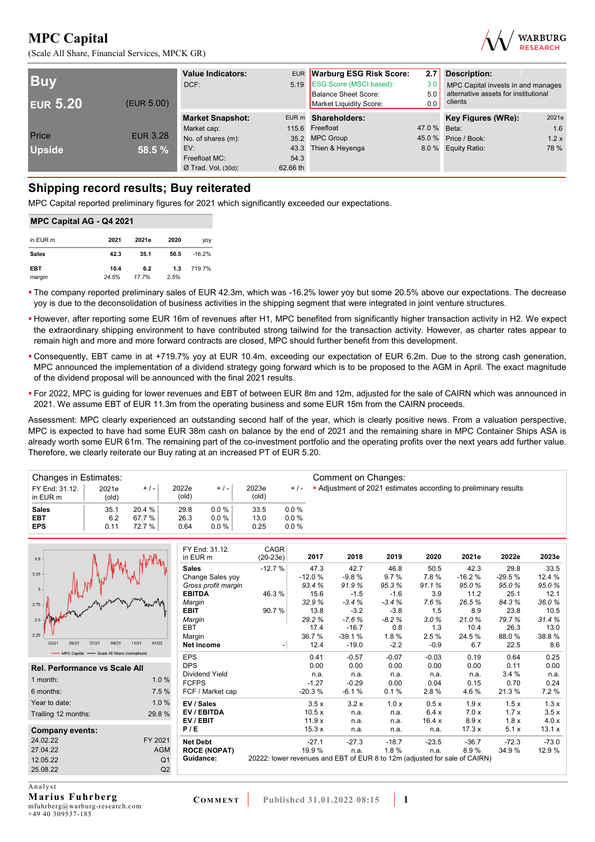



| <b>Buv</b><br><b>EUR 5.20</b> | (EUR 5.00)      | <b>Value Indicators:</b><br>DCF: |          | EUR Warburg ESG Risk Score:<br>5.19 ESG Score (MSCI based):<br>Balance Sheet Score:<br>Market Liquidity Score: | 2.7<br>Description:<br>3.0<br>MPC Capital invests in and manages<br>5.0<br>clients<br>0.0 |                      |       |
|-------------------------------|-----------------|----------------------------------|----------|----------------------------------------------------------------------------------------------------------------|-------------------------------------------------------------------------------------------|----------------------|-------|
|                               |                 | <b>Market Snapshot:</b>          |          | EUR m Shareholders:                                                                                            |                                                                                           | Key Figures (WRe):   | 2021e |
|                               |                 | Market cap:                      |          | 115.6 Freefloat                                                                                                | 47.0 % Beta:                                                                              |                      | 1.6   |
| Price                         | <b>EUR 3.28</b> | No. of shares (m):               |          | 35.2 MPC Group                                                                                                 |                                                                                           | 45.0 % Price / Book: | 1.2x  |
| <b>Upside</b>                 | 58.5 %          | EV:                              |          | 43.3 Thien & Heyenga                                                                                           |                                                                                           | 8.0 % Equity Ratio:  | 78 %  |
|                               |                 | Freefloat MC:                    | 54.3     |                                                                                                                |                                                                                           |                      |       |
|                               |                 | $Ø$ Trad. Vol. (30d):            | 62.66 th |                                                                                                                |                                                                                           |                      |       |

## **Shipping record results; Buy reiterated**

MPC Capital reported preliminary figures for 2021 which significantly exceeded our expectations.

| <b>MPC Capital AG - Q4 2021</b> |               |              |             |            |  |  |  |  |  |  |
|---------------------------------|---------------|--------------|-------------|------------|--|--|--|--|--|--|
| in EUR m                        | 2021          | 2021e        | 2020        | <b>VOV</b> |  |  |  |  |  |  |
| <b>Sales</b>                    | 42.3          | 35.1         | 50.5        | $-16.2%$   |  |  |  |  |  |  |
| <b>EBT</b><br>margin            | 10.4<br>24.5% | 6.2<br>17.7% | 1.3<br>2.5% | 719.7%     |  |  |  |  |  |  |

 The company reported preliminary sales of EUR 42.3m, which was -16.2% lower yoy but some 20.5% above our expectations. The decrease yoy is due to the deconsolidation of business activities in the shipping segment that were integrated in joint venture structures.

- However, after reporting some EUR 16m of revenues after H1, MPC benefited from significantly higher transaction activity in H2. We expect the extraordinary shipping environment to have contributed strong tailwind for the transaction activity. However, as charter rates appear to remain high and more and more forward contracts are closed, MPC should further benefit from this development.
- Consequently, EBT came in at +719.7% yoy at EUR 10.4m, exceeding our expectation of EUR 6.2m. Due to the strong cash generation, MPC announced the implementation of a dividend strategy going forward which is to be proposed to the AGM in April. The exact magnitude of the dividend proposal will be announced with the final 2021 results.
- For 2022, MPC is guiding for lower revenues and EBT of between EUR 8m and 12m, adjusted for the sale of CAIRN which was announced in 2021. We assume EBT of EUR 11.3m from the operating business and some EUR 15m from the CAIRN proceeds.

Assessment: MPC clearly experienced an outstanding second half of the year, which is clearly positive news. From a valuation perspective, MPC is expected to have had some EUR 38m cash on balance by the end of 2021 and the remaining share in MPC Container Ships ASA is already worth some EUR 61m. The remaining part of the co-investment portfolio and the operating profits over the next years add further value. Therefore, we clearly reiterate our Buy rating at an increased PT of EUR 5.20.

| Changes in Estimates:      |                |        |                         |          |                |         | Comment on Changes:                                             |
|----------------------------|----------------|--------|-------------------------|----------|----------------|---------|-----------------------------------------------------------------|
| FY End: 31.12.<br>in EUR m | 2021e<br>(old) | $+/-$  | 2022e<br>$\text{(old)}$ | $+/-$    | 2023e<br>(old) | $+$ / - | • Adjustment of 2021 estimates according to preliminary results |
| <b>Sales</b>               | 35.1           | 20.4%  | 29.8                    | 0.0%     | 33.5           | $0.0\%$ |                                                                 |
| EBT                        | 6.2            | 67.7%  | 26.3                    | $0.0 \%$ | 13.0           | 0.0%    |                                                                 |
| <b>EPS</b>                 | 0.11           | 72.7 % | 0.64                    | $0.0\%$  | 0.25           | 0.0%    |                                                                 |

|                                            |                | FY End: 31.12.        | CAGR                                                                       |          |          |         |         |          |          |         |
|--------------------------------------------|----------------|-----------------------|----------------------------------------------------------------------------|----------|----------|---------|---------|----------|----------|---------|
| 3.5                                        |                | in EUR m              | $(20-23e)$                                                                 | 2017     | 2018     | 2019    | 2020    | 2021e    | 2022e    | 2023e   |
|                                            |                | <b>Sales</b>          | $-12.7%$                                                                   | 47.3     | 42.7     | 46.8    | 50.5    | 42.3     | 29.8     | 33.5    |
| 3.25                                       |                | Change Sales yoy      |                                                                            | $-12.0%$ | $-9.8%$  | 9.7%    | 7.8%    | $-16.2%$ | $-29.5%$ | 12.4 %  |
| $\overline{3}$                             |                | Gross profit margin   |                                                                            | 93.4%    | 91.9%    | 95.3%   | 91.1%   | 95.0%    | 95.0%    | 95.0%   |
|                                            |                | <b>EBITDA</b>         | 46.3%                                                                      | 15.6     | $-1.5$   | $-1.6$  | 3.9     | 11.2     | 25.1     | 12.1    |
| 2.75                                       |                | Margin                |                                                                            | 32.9%    | $-3.4%$  | $-3.4%$ | 7.6%    | 26.5%    | 84.3%    | 36.0%   |
|                                            |                | <b>EBIT</b>           | 90.7%                                                                      | 13.8     | $-3.2$   | $-3.8$  | 1.5     | 8.9      | 23.8     | 10.5    |
|                                            |                | Margin                |                                                                            | 29.2%    | $-7.6%$  | $-8.2%$ | 3.0%    | 21.0%    | 79.7%    | 31.4%   |
|                                            |                | EBT                   |                                                                            | 17.4     | $-16.7$  | 0.8     | 1.3     | 10.4     | 26.3     | 13.0    |
| 2.25                                       |                | Margin                |                                                                            | 36.7%    | $-39.1%$ | 1.8%    | 2.5%    | 24.5 %   | 88.0%    | 38.8%   |
| 03/21<br>05/21<br>07/21<br>09/21           | 11/21<br>01/22 | <b>Net income</b>     | - 1                                                                        | 12.4     | $-19.0$  | $-2.2$  | $-0.9$  | 6.7      | 22.5     | 8.6     |
| MPC Capital - Scale All Share (normalised) |                | <b>EPS</b>            |                                                                            | 0.41     | $-0.57$  | $-0.07$ | $-0.03$ | 0.19     | 0.64     | 0.25    |
| Rel. Performance vs Scale All              |                | <b>DPS</b>            |                                                                            | 0.00     | 0.00     | 0.00    | 0.00    | 0.00     | 0.11     | 0.00    |
|                                            |                | <b>Dividend Yield</b> |                                                                            | n.a.     | n.a.     | n.a.    | n.a.    | n.a.     | 3.4%     | n.a.    |
| 1 month:                                   | 1.0%           | <b>FCFPS</b>          |                                                                            | $-1.27$  | $-0.29$  | 0.00    | 0.04    | 0.15     | 0.70     | 0.24    |
| 6 months:                                  | 7.5 %          | FCF / Market cap      |                                                                            | $-20.3%$ | $-6.1%$  | 0.1%    | 2.8%    | 4.6%     | 21.3%    | 7.2 %   |
| Year to date:                              | 1.0%           | EV / Sales            |                                                                            | 3.5x     | 3.2x     | 1.0x    | 0.5x    | 1.9x     | 1.5x     | 1.3x    |
| Trailing 12 months:                        | 29.8%          | EV / EBITDA           |                                                                            | 10.5x    | n.a.     | n.a.    | 6.4x    | 7.0 x    | 1.7x     | 3.5x    |
|                                            |                | EV/EBIT               |                                                                            | 11.9x    | n.a.     | n.a.    | 16.4x   | 8.9x     | 1.8x     | 4.0x    |
| Company events:                            |                | P/E                   |                                                                            | 15.3x    | n.a.     | n.a.    | n.a.    | 17.3x    | 5.1x     | 13.1 x  |
| 24.02.22                                   | FY 2021        | <b>Net Debt</b>       |                                                                            | $-27.1$  | $-27.3$  | $-18.7$ | $-23.5$ | $-36.7$  | $-72.3$  | $-73.0$ |
| 27.04.22                                   | <b>AGM</b>     | <b>ROCE (NOPAT)</b>   |                                                                            | 19.9%    | n.a.     | 1.8%    | n.a.    | 8.9%     | 34.9%    | 12.9%   |
| 12.05.22                                   | Q <sub>1</sub> | Guidance:             | 20222: lower revenues and EBT of EUR 8 to 12m (adjusted for sale of CAIRN) |          |          |         |         |          |          |         |
| 25.08.22                                   | Q2             |                       |                                                                            |          |          |         |         |          |          |         |
|                                            |                |                       |                                                                            |          |          |         |         |          |          |         |

 $\overline{Analysis}$ **Marius Fuhrberg** 

mfuhrberg@warburg-research.com +49 40 309537-185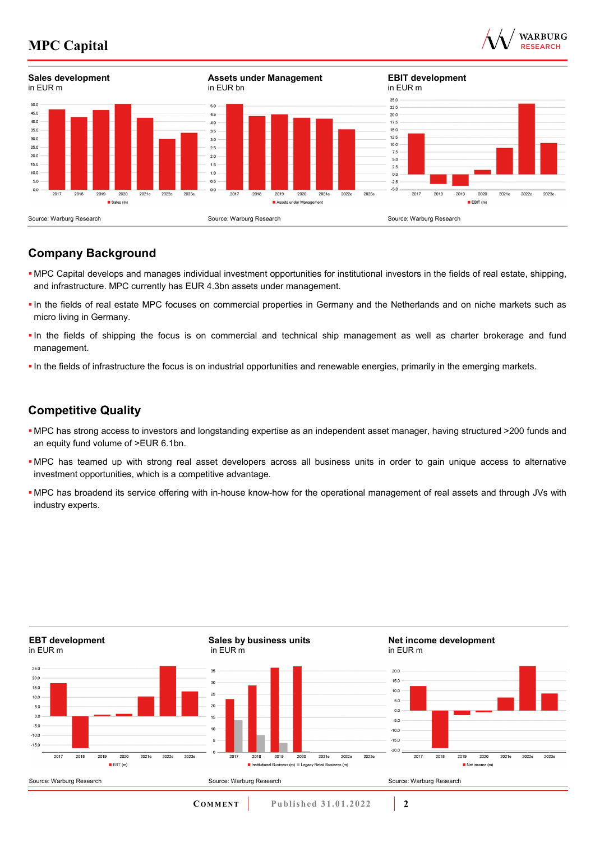



## **Company Background**

- MPC Capital develops and manages individual investment opportunities for institutional investors in the fields of real estate, shipping, and infrastructure. MPC currently has EUR 4.3bn assets under management.
- In the fields of real estate MPC focuses on commercial properties in Germany and the Netherlands and on niche markets such as micro living in Germany.
- In the fields of shipping the focus is on commercial and technical ship management as well as charter brokerage and fund management.
- In the fields of infrastructure the focus is on industrial opportunities and renewable energies, primarily in the emerging markets.

## **Competitive Quality**

- MPC has strong access to investors and longstanding expertise as an independent asset manager, having structured >200 funds and an equity fund volume of >EUR 6.1bn.
- MPC has teamed up with strong real asset developers across all business units in order to gain unique access to alternative investment opportunities, which is a competitive advantage.
- MPC has broadend its service offering with in-house know-how for the operational management of real assets and through JVs with industry experts.

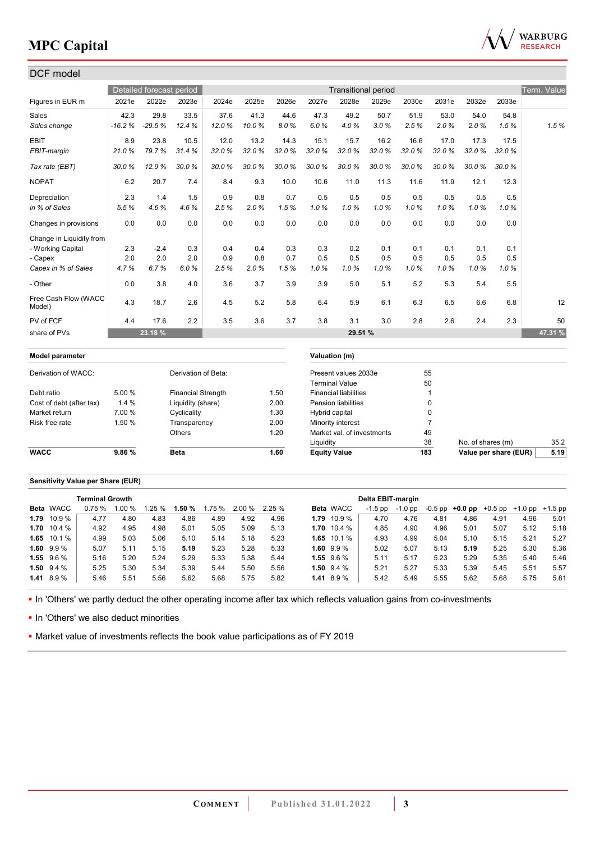

| Detailed forecast period<br>Term. Value<br><b>Transitional period</b><br>2028e<br>2021e<br>2022e<br>2023e<br>2024e<br>2025e<br>2026e<br>2027e<br>2029e<br>2030e<br>2031e<br>2032e<br>2033e<br>29.8<br>33.5<br>42.3<br>37.6<br>41.3<br>44.6<br>47.3<br>49.2<br>50.7<br>51.9<br>53.0<br>54.0<br>54.8<br>1.5%<br>$-16.2%$<br>$-29.5%$<br>12.4%<br>12.0%<br>10.0%<br>8.0%<br>6.0%<br>4.0%<br>3.0%<br>2.5%<br>2.0%<br>2.0%<br>1.5%<br>8.9<br>23.8<br>12.0<br>13.2<br>14.3<br>10.5<br>15.1<br>15.7<br>16.2<br>16.6<br>17.0<br>17.3<br>17.5<br>79.7%<br>32.0%<br>32.0%<br>32.0%<br>32.0%<br>21.0%<br>31.4%<br>32.0%<br>32.0%<br>32.0%<br>32.0%<br>32.0%<br>32.0%<br>30.0%<br>30.0%<br>30.0%<br>30.0%<br>12.9%<br>30.0%<br>30.0%<br>30.0%<br>30.0%<br>30.0%<br>30.0%<br>30.0%<br>30.0%<br>6.2<br>8.4<br>9.3<br>11.3<br>20.7<br>7.4<br>10.0<br>10.6<br>11.0<br>11.6<br>11.9<br>12.1<br>12.3<br>2.3<br>0.5<br>0.5<br>1.4<br>1.5<br>0.9<br>0.8<br>0.7<br>0.5<br>0.5<br>0.5<br>0.5<br>0.5<br>5.5%<br>4.6%<br>4.6%<br>2.5%<br>2.0%<br>1.5%<br>1.0%<br>1.0%<br>1.0%<br>1.0%<br>1.0%<br>1.0%<br>1.0%<br>0.0<br>0.0<br>0.0<br>0.0<br>0.0<br>0.0<br>0.0<br>0.0<br>0.0<br>0.0<br>0.0<br>0.0<br>0.0<br>- Working Capital<br>2.3<br>$-2.4$<br>0.3<br>0.4<br>0.4<br>0.3<br>0.3<br>0.2<br>0.1<br>0.1<br>0.1<br>0.1<br>0.1<br>2.0<br>2.0<br>2.0<br>0.9<br>0.8<br>0.7<br>0.5<br>0.5<br>0.5<br>0.5<br>0.5<br>0.5<br>0.5<br>1.0%<br>4.7%<br>6.7%<br>6.0%<br>2.5%<br>2.0%<br>1.5%<br>1.0%<br>1.0%<br>1.0%<br>1.0%<br>1.0%<br>1.0%<br>3.8<br>3.6<br>3.7<br>3.9<br>5.0<br>5.1<br>5.4<br>- Other<br>0.0<br>4.0<br>3.9<br>5.2<br>5.3<br>5.5<br>4.3<br>12<br>18.7<br>2.6<br>4.5<br>5.2<br>5.8<br>5.9<br>6.1<br>6.3<br>6.5<br>6.8<br>6.4<br>6.6<br>4.4<br>3.0<br>17.6<br>2.2<br>3.5<br>3.6<br>3.7<br>3.8<br>3.1<br>2.8<br>2.6<br>2.4<br>2.3<br>50<br>47.31 %<br>23.18 %<br>29.51 %<br>Valuation (m)<br>Derivation of Beta:<br>55<br>Derivation of WACC:<br>Present values 2033e<br><b>Terminal Value</b><br>50<br>5.00 %<br><b>Financial liabilities</b><br>Debt ratio<br><b>Financial Strength</b><br>1.50<br>$\mathbf{1}$<br>1.4 %<br>Liquidity (share)<br>2.00<br><b>Pension liabilities</b><br>0<br>Cost of debt (after tax)<br>7.00 %<br>0<br>Market return<br>Cyclicality<br>1.30<br>Hybrid capital<br>1.50 %<br>$\overline{7}$<br>Risk free rate<br>2.00<br>Transparency<br>Minority interest<br>49<br>Others<br>1.20<br>Market val. of investments<br>38<br>35.2<br>Liquidity<br>No. of shares (m)<br>9.86%<br>5.19<br><b>Beta</b><br>1.60<br><b>Equity Value</b><br>183<br>Value per share (EUR) | DCF model                      |  |  |  |  |  |  |  |  |
|--------------------------------------------------------------------------------------------------------------------------------------------------------------------------------------------------------------------------------------------------------------------------------------------------------------------------------------------------------------------------------------------------------------------------------------------------------------------------------------------------------------------------------------------------------------------------------------------------------------------------------------------------------------------------------------------------------------------------------------------------------------------------------------------------------------------------------------------------------------------------------------------------------------------------------------------------------------------------------------------------------------------------------------------------------------------------------------------------------------------------------------------------------------------------------------------------------------------------------------------------------------------------------------------------------------------------------------------------------------------------------------------------------------------------------------------------------------------------------------------------------------------------------------------------------------------------------------------------------------------------------------------------------------------------------------------------------------------------------------------------------------------------------------------------------------------------------------------------------------------------------------------------------------------------------------------------------------------------------------------------------------------------------------------------------------------------------------------------------------------------------------------------------------------------------------------------------------------------------------------------------------------------------------------------------------------------------------------------------------------------------------------------------------------------------------------------------------------------------------------------------------------------------------------------------------------------|--------------------------------|--|--|--|--|--|--|--|--|
|                                                                                                                                                                                                                                                                                                                                                                                                                                                                                                                                                                                                                                                                                                                                                                                                                                                                                                                                                                                                                                                                                                                                                                                                                                                                                                                                                                                                                                                                                                                                                                                                                                                                                                                                                                                                                                                                                                                                                                                                                                                                                                                                                                                                                                                                                                                                                                                                                                                                                                                                                                          |                                |  |  |  |  |  |  |  |  |
|                                                                                                                                                                                                                                                                                                                                                                                                                                                                                                                                                                                                                                                                                                                                                                                                                                                                                                                                                                                                                                                                                                                                                                                                                                                                                                                                                                                                                                                                                                                                                                                                                                                                                                                                                                                                                                                                                                                                                                                                                                                                                                                                                                                                                                                                                                                                                                                                                                                                                                                                                                          | Figures in EUR m               |  |  |  |  |  |  |  |  |
|                                                                                                                                                                                                                                                                                                                                                                                                                                                                                                                                                                                                                                                                                                                                                                                                                                                                                                                                                                                                                                                                                                                                                                                                                                                                                                                                                                                                                                                                                                                                                                                                                                                                                                                                                                                                                                                                                                                                                                                                                                                                                                                                                                                                                                                                                                                                                                                                                                                                                                                                                                          | Sales                          |  |  |  |  |  |  |  |  |
|                                                                                                                                                                                                                                                                                                                                                                                                                                                                                                                                                                                                                                                                                                                                                                                                                                                                                                                                                                                                                                                                                                                                                                                                                                                                                                                                                                                                                                                                                                                                                                                                                                                                                                                                                                                                                                                                                                                                                                                                                                                                                                                                                                                                                                                                                                                                                                                                                                                                                                                                                                          | Sales change                   |  |  |  |  |  |  |  |  |
|                                                                                                                                                                                                                                                                                                                                                                                                                                                                                                                                                                                                                                                                                                                                                                                                                                                                                                                                                                                                                                                                                                                                                                                                                                                                                                                                                                                                                                                                                                                                                                                                                                                                                                                                                                                                                                                                                                                                                                                                                                                                                                                                                                                                                                                                                                                                                                                                                                                                                                                                                                          | <b>EBIT</b>                    |  |  |  |  |  |  |  |  |
|                                                                                                                                                                                                                                                                                                                                                                                                                                                                                                                                                                                                                                                                                                                                                                                                                                                                                                                                                                                                                                                                                                                                                                                                                                                                                                                                                                                                                                                                                                                                                                                                                                                                                                                                                                                                                                                                                                                                                                                                                                                                                                                                                                                                                                                                                                                                                                                                                                                                                                                                                                          | EBIT-margin                    |  |  |  |  |  |  |  |  |
|                                                                                                                                                                                                                                                                                                                                                                                                                                                                                                                                                                                                                                                                                                                                                                                                                                                                                                                                                                                                                                                                                                                                                                                                                                                                                                                                                                                                                                                                                                                                                                                                                                                                                                                                                                                                                                                                                                                                                                                                                                                                                                                                                                                                                                                                                                                                                                                                                                                                                                                                                                          | Tax rate (EBT)                 |  |  |  |  |  |  |  |  |
|                                                                                                                                                                                                                                                                                                                                                                                                                                                                                                                                                                                                                                                                                                                                                                                                                                                                                                                                                                                                                                                                                                                                                                                                                                                                                                                                                                                                                                                                                                                                                                                                                                                                                                                                                                                                                                                                                                                                                                                                                                                                                                                                                                                                                                                                                                                                                                                                                                                                                                                                                                          | <b>NOPAT</b>                   |  |  |  |  |  |  |  |  |
|                                                                                                                                                                                                                                                                                                                                                                                                                                                                                                                                                                                                                                                                                                                                                                                                                                                                                                                                                                                                                                                                                                                                                                                                                                                                                                                                                                                                                                                                                                                                                                                                                                                                                                                                                                                                                                                                                                                                                                                                                                                                                                                                                                                                                                                                                                                                                                                                                                                                                                                                                                          | Depreciation                   |  |  |  |  |  |  |  |  |
|                                                                                                                                                                                                                                                                                                                                                                                                                                                                                                                                                                                                                                                                                                                                                                                                                                                                                                                                                                                                                                                                                                                                                                                                                                                                                                                                                                                                                                                                                                                                                                                                                                                                                                                                                                                                                                                                                                                                                                                                                                                                                                                                                                                                                                                                                                                                                                                                                                                                                                                                                                          | in % of Sales                  |  |  |  |  |  |  |  |  |
|                                                                                                                                                                                                                                                                                                                                                                                                                                                                                                                                                                                                                                                                                                                                                                                                                                                                                                                                                                                                                                                                                                                                                                                                                                                                                                                                                                                                                                                                                                                                                                                                                                                                                                                                                                                                                                                                                                                                                                                                                                                                                                                                                                                                                                                                                                                                                                                                                                                                                                                                                                          | Changes in provisions          |  |  |  |  |  |  |  |  |
|                                                                                                                                                                                                                                                                                                                                                                                                                                                                                                                                                                                                                                                                                                                                                                                                                                                                                                                                                                                                                                                                                                                                                                                                                                                                                                                                                                                                                                                                                                                                                                                                                                                                                                                                                                                                                                                                                                                                                                                                                                                                                                                                                                                                                                                                                                                                                                                                                                                                                                                                                                          | Change in Liquidity from       |  |  |  |  |  |  |  |  |
|                                                                                                                                                                                                                                                                                                                                                                                                                                                                                                                                                                                                                                                                                                                                                                                                                                                                                                                                                                                                                                                                                                                                                                                                                                                                                                                                                                                                                                                                                                                                                                                                                                                                                                                                                                                                                                                                                                                                                                                                                                                                                                                                                                                                                                                                                                                                                                                                                                                                                                                                                                          |                                |  |  |  |  |  |  |  |  |
|                                                                                                                                                                                                                                                                                                                                                                                                                                                                                                                                                                                                                                                                                                                                                                                                                                                                                                                                                                                                                                                                                                                                                                                                                                                                                                                                                                                                                                                                                                                                                                                                                                                                                                                                                                                                                                                                                                                                                                                                                                                                                                                                                                                                                                                                                                                                                                                                                                                                                                                                                                          | - Capex                        |  |  |  |  |  |  |  |  |
|                                                                                                                                                                                                                                                                                                                                                                                                                                                                                                                                                                                                                                                                                                                                                                                                                                                                                                                                                                                                                                                                                                                                                                                                                                                                                                                                                                                                                                                                                                                                                                                                                                                                                                                                                                                                                                                                                                                                                                                                                                                                                                                                                                                                                                                                                                                                                                                                                                                                                                                                                                          | Capex in % of Sales            |  |  |  |  |  |  |  |  |
|                                                                                                                                                                                                                                                                                                                                                                                                                                                                                                                                                                                                                                                                                                                                                                                                                                                                                                                                                                                                                                                                                                                                                                                                                                                                                                                                                                                                                                                                                                                                                                                                                                                                                                                                                                                                                                                                                                                                                                                                                                                                                                                                                                                                                                                                                                                                                                                                                                                                                                                                                                          |                                |  |  |  |  |  |  |  |  |
|                                                                                                                                                                                                                                                                                                                                                                                                                                                                                                                                                                                                                                                                                                                                                                                                                                                                                                                                                                                                                                                                                                                                                                                                                                                                                                                                                                                                                                                                                                                                                                                                                                                                                                                                                                                                                                                                                                                                                                                                                                                                                                                                                                                                                                                                                                                                                                                                                                                                                                                                                                          | Free Cash Flow (WACC<br>Model) |  |  |  |  |  |  |  |  |
|                                                                                                                                                                                                                                                                                                                                                                                                                                                                                                                                                                                                                                                                                                                                                                                                                                                                                                                                                                                                                                                                                                                                                                                                                                                                                                                                                                                                                                                                                                                                                                                                                                                                                                                                                                                                                                                                                                                                                                                                                                                                                                                                                                                                                                                                                                                                                                                                                                                                                                                                                                          | PV of FCF                      |  |  |  |  |  |  |  |  |
|                                                                                                                                                                                                                                                                                                                                                                                                                                                                                                                                                                                                                                                                                                                                                                                                                                                                                                                                                                                                                                                                                                                                                                                                                                                                                                                                                                                                                                                                                                                                                                                                                                                                                                                                                                                                                                                                                                                                                                                                                                                                                                                                                                                                                                                                                                                                                                                                                                                                                                                                                                          | share of PVs                   |  |  |  |  |  |  |  |  |
|                                                                                                                                                                                                                                                                                                                                                                                                                                                                                                                                                                                                                                                                                                                                                                                                                                                                                                                                                                                                                                                                                                                                                                                                                                                                                                                                                                                                                                                                                                                                                                                                                                                                                                                                                                                                                                                                                                                                                                                                                                                                                                                                                                                                                                                                                                                                                                                                                                                                                                                                                                          | <b>Model parameter</b>         |  |  |  |  |  |  |  |  |
|                                                                                                                                                                                                                                                                                                                                                                                                                                                                                                                                                                                                                                                                                                                                                                                                                                                                                                                                                                                                                                                                                                                                                                                                                                                                                                                                                                                                                                                                                                                                                                                                                                                                                                                                                                                                                                                                                                                                                                                                                                                                                                                                                                                                                                                                                                                                                                                                                                                                                                                                                                          |                                |  |  |  |  |  |  |  |  |
|                                                                                                                                                                                                                                                                                                                                                                                                                                                                                                                                                                                                                                                                                                                                                                                                                                                                                                                                                                                                                                                                                                                                                                                                                                                                                                                                                                                                                                                                                                                                                                                                                                                                                                                                                                                                                                                                                                                                                                                                                                                                                                                                                                                                                                                                                                                                                                                                                                                                                                                                                                          |                                |  |  |  |  |  |  |  |  |
|                                                                                                                                                                                                                                                                                                                                                                                                                                                                                                                                                                                                                                                                                                                                                                                                                                                                                                                                                                                                                                                                                                                                                                                                                                                                                                                                                                                                                                                                                                                                                                                                                                                                                                                                                                                                                                                                                                                                                                                                                                                                                                                                                                                                                                                                                                                                                                                                                                                                                                                                                                          |                                |  |  |  |  |  |  |  |  |
|                                                                                                                                                                                                                                                                                                                                                                                                                                                                                                                                                                                                                                                                                                                                                                                                                                                                                                                                                                                                                                                                                                                                                                                                                                                                                                                                                                                                                                                                                                                                                                                                                                                                                                                                                                                                                                                                                                                                                                                                                                                                                                                                                                                                                                                                                                                                                                                                                                                                                                                                                                          |                                |  |  |  |  |  |  |  |  |
|                                                                                                                                                                                                                                                                                                                                                                                                                                                                                                                                                                                                                                                                                                                                                                                                                                                                                                                                                                                                                                                                                                                                                                                                                                                                                                                                                                                                                                                                                                                                                                                                                                                                                                                                                                                                                                                                                                                                                                                                                                                                                                                                                                                                                                                                                                                                                                                                                                                                                                                                                                          |                                |  |  |  |  |  |  |  |  |
|                                                                                                                                                                                                                                                                                                                                                                                                                                                                                                                                                                                                                                                                                                                                                                                                                                                                                                                                                                                                                                                                                                                                                                                                                                                                                                                                                                                                                                                                                                                                                                                                                                                                                                                                                                                                                                                                                                                                                                                                                                                                                                                                                                                                                                                                                                                                                                                                                                                                                                                                                                          |                                |  |  |  |  |  |  |  |  |
|                                                                                                                                                                                                                                                                                                                                                                                                                                                                                                                                                                                                                                                                                                                                                                                                                                                                                                                                                                                                                                                                                                                                                                                                                                                                                                                                                                                                                                                                                                                                                                                                                                                                                                                                                                                                                                                                                                                                                                                                                                                                                                                                                                                                                                                                                                                                                                                                                                                                                                                                                                          |                                |  |  |  |  |  |  |  |  |
|                                                                                                                                                                                                                                                                                                                                                                                                                                                                                                                                                                                                                                                                                                                                                                                                                                                                                                                                                                                                                                                                                                                                                                                                                                                                                                                                                                                                                                                                                                                                                                                                                                                                                                                                                                                                                                                                                                                                                                                                                                                                                                                                                                                                                                                                                                                                                                                                                                                                                                                                                                          |                                |  |  |  |  |  |  |  |  |
|                                                                                                                                                                                                                                                                                                                                                                                                                                                                                                                                                                                                                                                                                                                                                                                                                                                                                                                                                                                                                                                                                                                                                                                                                                                                                                                                                                                                                                                                                                                                                                                                                                                                                                                                                                                                                                                                                                                                                                                                                                                                                                                                                                                                                                                                                                                                                                                                                                                                                                                                                                          | <b>WACC</b>                    |  |  |  |  |  |  |  |  |

## **Sensitivity Value per Share (EUR)**

|      |                  | <b>Terminal Growth</b> |         |         |       |        |           |       |                  | Delta EBIT-margin |         |      |                                                   |      |      |      |
|------|------------------|------------------------|---------|---------|-------|--------|-----------|-------|------------------|-------------------|---------|------|---------------------------------------------------|------|------|------|
|      | <b>Beta WACC</b> | 0.75%                  | $.00\%$ | $.25\%$ | .50 % | 1.75 % | $2.00 \%$ | 2.25% | <b>Beta WACC</b> | -1.5 pp           | -1.0 pp |      | $-0.5$ pp $+0.0$ pp $+0.5$ pp $+1.0$ pp $+1.5$ pp |      |      |      |
|      | $1.79$ 10.9 %    | 4.77                   | 4.80    | 4.83    | 4.86  | 4.89   | 4.92      | 4.96  | 1.79 10.9 %      | 4.70              | 4.76    | 4.81 | 4.86                                              | 4.91 | 4.96 | 5.01 |
| 1.70 | 10.4 %           | 4.92                   | 4.95    | 4.98    | 5.01  | 5.05   | 5.09      | 5.13  | 1.70 $10.4\%$    | 4.85              | 4.90    | 4.96 | 5.01                                              | 5.07 | 5.12 | 5.18 |
|      | $1.65$ 10.1 %    | 4.99                   | 5.03    | 5.06    | 5.10  | 5.14   | 5.18      | 5.23  | $1.65$ 10.1 %    | 4.93              | 4.99    | 5.04 | 5.10                                              | 5.15 | 5.21 | 5.27 |
|      | 1.60 $9.9\%$     | 5.07                   | 5.11    | 5.15    | 5.19  | 5.23   | 5.28      | 5.33  | 1.60 $9.9\%$     | 5.02              | 5.07    | 5.13 | 5.19                                              | 5.25 | 5.30 | 5.36 |
|      | $1.55$ $9.6\%$   | 5.16                   | 5.20    | 5.24    | 5.29  | 5.33   | 5.38      | 5.44  | 1.55 $9.6\%$     | 5.11              | 5.17    | 5.23 | 5.29                                              | 5.35 | 5.40 | 5.46 |
|      | 1.50 $9.4\%$     | 5.25                   | 5.30    | 5.34    | 5.39  | 5.44   | 5.50      | 5.56  | 1.50 $9.4\%$     | 5.21              | 5.27    | 5.33 | 5.39                                              | 5.45 | 5.51 | 5.57 |
|      | $1.41$ 8.9 %     | 5.46                   | 5.51    | 5.56    | 5.62  | 5.68   | 5.75      | 5.82  | $1.41$ 8.9 %     | 5.42              | 5.49    | 5.55 | 5.62                                              | 5.68 | 5.75 | 5.81 |

. In 'Others' we partly deduct the other operating income after tax which reflects valuation gains from co-investments

In 'Others' we also deduct minorities

Market value of investments reflects the book value participations as of FY 2019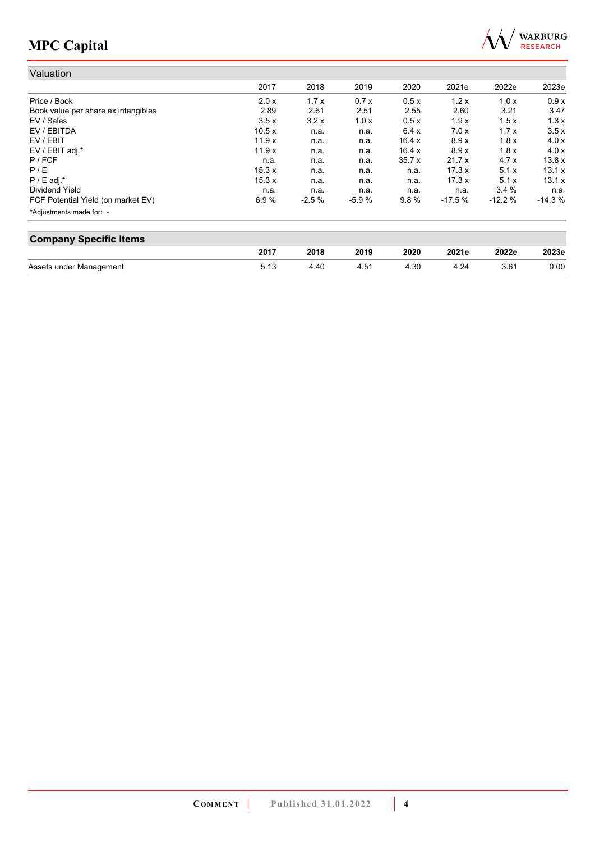

| Valuation                           |       |         |         |               |          |          |          |
|-------------------------------------|-------|---------|---------|---------------|----------|----------|----------|
|                                     | 2017  | 2018    | 2019    | 2020          | 2021e    | 2022e    | 2023e    |
| Price / Book                        | 2.0 x | 1.7x    | 0.7x    | 0.5x          | 1.2x     | 1.0x     | 0.9x     |
| Book value per share ex intangibles | 2.89  | 2.61    | 2.51    | 2.55          | 2.60     | 3.21     | 3.47     |
| EV / Sales                          | 3.5x  | 3.2x    | 1.0x    | 0.5x          | 1.9x     | 1.5x     | 1.3x     |
| EV / EBITDA                         | 10.5x | n.a.    | n.a.    | 6.4x          | 7.0x     | 1.7x     | 3.5x     |
| EV / EBIT                           | 11.9x | n.a.    | n.a.    | 16.4 $\times$ | 8.9x     | 1.8x     | 4.0x     |
| EV / EBIT adj.*                     | 11.9x | n.a.    | n.a.    | 16.4 x        | 8.9x     | 1.8x     | 4.0x     |
| $P$ / FCF                           | n.a.  | n.a.    | n.a.    | 35.7x         | 21.7x    | 4.7 x    | 13.8x    |
| P/E                                 | 15.3x | n.a.    | n.a.    | n.a.          | 17.3x    | 5.1x     | 13.1x    |
| $P / E$ adj.*                       | 15.3x | n.a.    | n.a.    | n.a.          | 17.3x    | 5.1x     | 13.1x    |
| Dividend Yield                      | n.a.  | n.a.    | n.a.    | n.a.          | n.a.     | 3.4%     | n.a.     |
| FCF Potential Yield (on market EV)  | 6.9%  | $-2.5%$ | $-5.9%$ | 9.8%          | $-17.5%$ | $-12.2%$ | $-14.3%$ |
| *Adjustments made for: -            |       |         |         |               |          |          |          |

| <b>Company Specific Items</b> |      |      |      |      |       |       |       |  |  |  |
|-------------------------------|------|------|------|------|-------|-------|-------|--|--|--|
|                               | 2017 | 2018 | 2019 | 2020 | 2021e | 2022e | 2023e |  |  |  |
| Assets under Management       | 5.13 | 4.40 | 4.51 | 4.30 | 4.24  | 3.61  | 0.00  |  |  |  |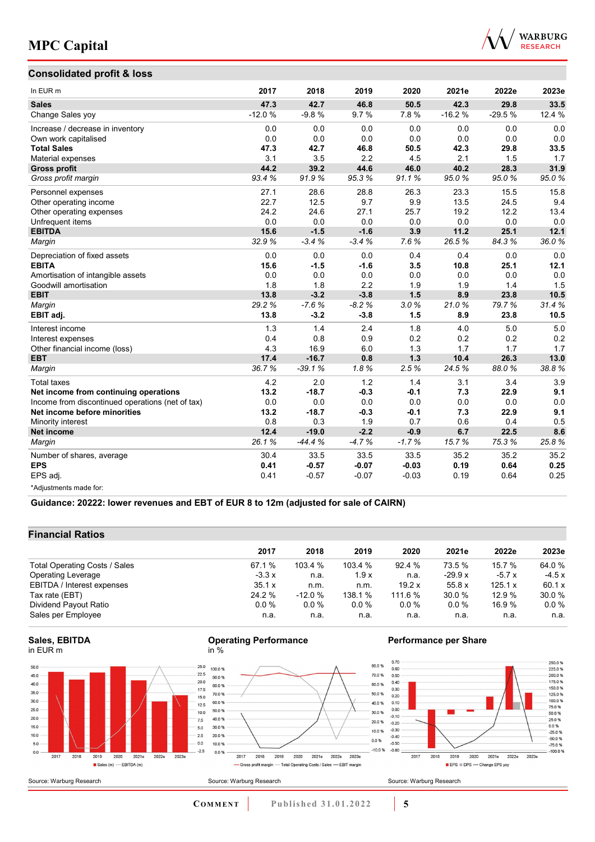



| In EUR <sub>m</sub>                              | 2017     | 2018     | 2019    | 2020    | 2021e    | 2022e    | 2023e  |
|--------------------------------------------------|----------|----------|---------|---------|----------|----------|--------|
| <b>Sales</b>                                     | 47.3     | 42.7     | 46.8    | 50.5    | 42.3     | 29.8     | 33.5   |
| Change Sales yoy                                 | $-12.0%$ | $-9.8%$  | 9.7%    | 7.8%    | $-16.2%$ | $-29.5%$ | 12.4 % |
| Increase / decrease in inventory                 | 0.0      | 0.0      | 0.0     | 0.0     | 0.0      | 0.0      | 0.0    |
| Own work capitalised                             | 0.0      | 0.0      | 0.0     | 0.0     | 0.0      | 0.0      | 0.0    |
| <b>Total Sales</b>                               | 47.3     | 42.7     | 46.8    | 50.5    | 42.3     | 29.8     | 33.5   |
| Material expenses                                | 3.1      | 3.5      | 2.2     | 4.5     | 2.1      | 1.5      | 1.7    |
| <b>Gross profit</b>                              | 44.2     | 39.2     | 44.6    | 46.0    | 40.2     | 28.3     | 31.9   |
| Gross profit margin                              | 93.4%    | 91.9%    | 95.3%   | 91.1%   | 95.0%    | 95.0%    | 95.0%  |
| Personnel expenses                               | 27.1     | 28.6     | 28.8    | 26.3    | 23.3     | 15.5     | 15.8   |
| Other operating income                           | 22.7     | 12.5     | 9.7     | 9.9     | 13.5     | 24.5     | 9.4    |
| Other operating expenses                         | 24.2     | 24.6     | 27.1    | 25.7    | 19.2     | 12.2     | 13.4   |
| Unfrequent items                                 | 0.0      | 0.0      | 0.0     | 0.0     | 0.0      | 0.0      | 0.0    |
| <b>EBITDA</b>                                    | 15.6     | $-1.5$   | $-1.6$  | 3.9     | 11.2     | 25.1     | 12.1   |
| Margin                                           | 32.9%    | $-3.4%$  | $-3.4%$ | 7.6%    | 26.5%    | 84.3%    | 36.0%  |
| Depreciation of fixed assets                     | 0.0      | 0.0      | 0.0     | 0.4     | 0.4      | 0.0      | 0.0    |
| <b>EBITA</b>                                     | 15.6     | $-1.5$   | $-1.6$  | 3.5     | 10.8     | 25.1     | 12.1   |
| Amortisation of intangible assets                | 0.0      | 0.0      | 0.0     | 0.0     | 0.0      | 0.0      | 0.0    |
| Goodwill amortisation                            | 1.8      | 1.8      | 2.2     | 1.9     | 1.9      | 1.4      | 1.5    |
| <b>EBIT</b>                                      | 13.8     | $-3.2$   | $-3.8$  | 1.5     | 8.9      | 23.8     | 10.5   |
| Margin                                           | 29.2%    | $-7.6%$  | $-8.2%$ | 3.0%    | 21.0%    | 79.7%    | 31.4%  |
| EBIT adj.                                        | 13.8     | $-3.2$   | $-3.8$  | 1.5     | 8.9      | 23.8     | 10.5   |
| Interest income                                  | 1.3      | 1.4      | 2.4     | 1.8     | 4.0      | 5.0      | 5.0    |
| Interest expenses                                | 0.4      | 0.8      | 0.9     | 0.2     | 0.2      | 0.2      | 0.2    |
| Other financial income (loss)                    | 4.3      | 16.9     | 6.0     | 1.3     | 1.7      | 1.7      | 1.7    |
| <b>EBT</b>                                       | 17.4     | $-16.7$  | 0.8     | 1.3     | 10.4     | 26.3     | 13.0   |
| Margin                                           | 36.7%    | $-39.1%$ | 1.8%    | 2.5%    | 24.5%    | 88.0%    | 38.8%  |
| <b>Total taxes</b>                               | 4.2      | 2.0      | 1.2     | 1.4     | 3.1      | 3.4      | 3.9    |
| Net income from continuing operations            | 13.2     | $-18.7$  | $-0.3$  | $-0.1$  | 7.3      | 22.9     | 9.1    |
| Income from discontinued operations (net of tax) | 0.0      | 0.0      | 0.0     | 0.0     | 0.0      | 0.0      | 0.0    |
| Net income before minorities                     | 13.2     | $-18.7$  | $-0.3$  | $-0.1$  | 7.3      | 22.9     | 9.1    |
| Minority interest                                | 0.8      | 0.3      | 1.9     | 0.7     | 0.6      | 0.4      | 0.5    |
| <b>Net income</b>                                | 12.4     | $-19.0$  | $-2.2$  | $-0.9$  | 6.7      | 22.5     | 8.6    |
| Margin                                           | 26.1%    | $-44.4%$ | $-4.7%$ | $-1.7%$ | 15.7%    | 75.3%    | 25.8%  |
| Number of shares, average                        | 30.4     | 33.5     | 33.5    | 33.5    | 35.2     | 35.2     | 35.2   |
| <b>EPS</b>                                       | 0.41     | $-0.57$  | $-0.07$ | $-0.03$ | 0.19     | 0.64     | 0.25   |
| EPS adj.                                         | 0.41     | $-0.57$  | $-0.07$ | $-0.03$ | 0.19     | 0.64     | 0.25   |
| *Adjustments made for:                           |          |          |         |         |          |          |        |

**Guidance: 20222: lower revenues and EBT of EUR 8 to 12m (adjusted for sale of CAIRN)**

## **Financial Ratios**

|                               | 2017    | 2018     | 2019    | 2020    | 2021e    | 2022e   | 2023e   |  |
|-------------------------------|---------|----------|---------|---------|----------|---------|---------|--|
| Total Operating Costs / Sales | 67.1 %  | 103.4%   | 103.4%  | 92.4%   | 73.5 %   | 15.7 %  | 64.0 %  |  |
| <b>Operating Leverage</b>     | $-3.3x$ | n.a.     | 1.9x    | n.a.    | $-29.9x$ | $-5.7x$ | $-4.5x$ |  |
| EBITDA / Interest expenses    | 35.1 x  | n.m.     | n.m.    | 19.2x   | 55.8x    | 125.1 x | 60.1 x  |  |
| Tax rate (EBT)                | 24.2 %  | $-12.0%$ | 138.1 % | 111.6 % | 30.0 %   | 12.9%   | 30.0 %  |  |
| Dividend Payout Ratio         | $0.0\%$ | $0.0\%$  | $0.0\%$ | $0.0\%$ | $0.0\%$  | 16.9 %  | $0.0\%$ |  |
| Sales per Employee            | n.a.    | n.a.     | n.a.    | n.a.    | n.a.     | n.a.    | n.a.    |  |

## **Sales, EBITDA** in EUR m

Source: Warburg Research



#### **Operating Performance** in %



## **Performance per Share**

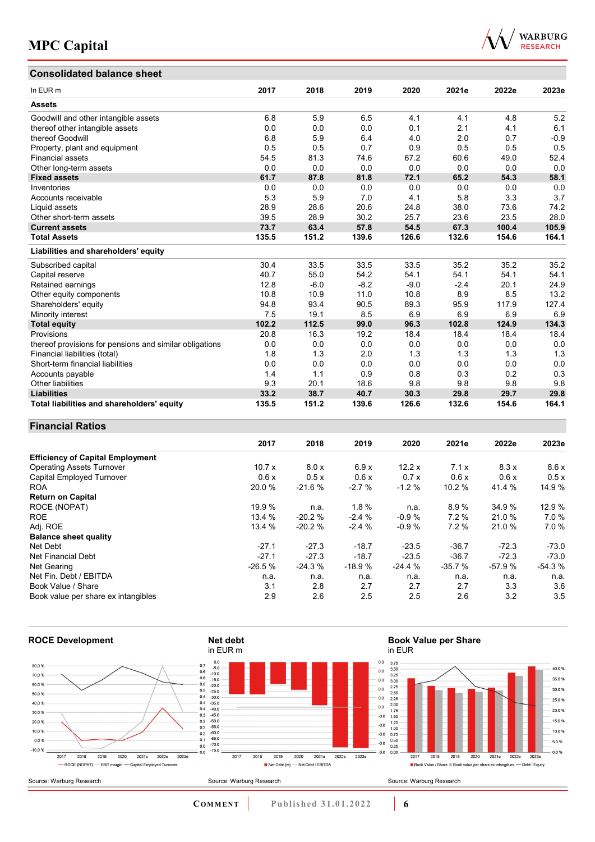## **Consolidated balance sheet**

| WARBURG         |
|-----------------|
| <b>RESEARCH</b> |

| Consolidated balance sheet                              |       |        |        |        |        |       |        |
|---------------------------------------------------------|-------|--------|--------|--------|--------|-------|--------|
| In EUR m                                                | 2017  | 2018   | 2019   | 2020   | 2021e  | 2022e | 2023e  |
| <b>Assets</b>                                           |       |        |        |        |        |       |        |
| Goodwill and other intangible assets                    | 6.8   | 5.9    | 6.5    | 4.1    | 4.1    | 4.8   | 5.2    |
| thereof other intangible assets                         | 0.0   | 0.0    | 0.0    | 0.1    | 2.1    | 4.1   | 6.1    |
| thereof Goodwill                                        | 6.8   | 5.9    | 6.4    | 4.0    | 2.0    | 0.7   | $-0.9$ |
| Property, plant and equipment                           | 0.5   | 0.5    | 0.7    | 0.9    | 0.5    | 0.5   | 0.5    |
| <b>Financial assets</b>                                 | 54.5  | 81.3   | 74.6   | 67.2   | 60.6   | 49.0  | 52.4   |
| Other long-term assets                                  | 0.0   | 0.0    | 0.0    | 0.0    | 0.0    | 0.0   | 0.0    |
| <b>Fixed assets</b>                                     | 61.7  | 87.8   | 81.8   | 72.1   | 65.2   | 54.3  | 58.1   |
| Inventories                                             | 0.0   | 0.0    | 0.0    | 0.0    | 0.0    | 0.0   | 0.0    |
| Accounts receivable                                     | 5.3   | 5.9    | 7.0    | 4.1    | 5.8    | 3.3   | 3.7    |
| Liquid assets                                           | 28.9  | 28.6   | 20.6   | 24.8   | 38.0   | 73.6  | 74.2   |
| Other short-term assets                                 | 39.5  | 28.9   | 30.2   | 25.7   | 23.6   | 23.5  | 28.0   |
| <b>Current assets</b>                                   | 73.7  | 63.4   | 57.8   | 54.5   | 67.3   | 100.4 | 105.9  |
| <b>Total Assets</b>                                     | 135.5 | 151.2  | 139.6  | 126.6  | 132.6  | 154.6 | 164.1  |
| Liabilities and shareholders' equity                    |       |        |        |        |        |       |        |
| Subscribed capital                                      | 30.4  | 33.5   | 33.5   | 33.5   | 35.2   | 35.2  | 35.2   |
| Capital reserve                                         | 40.7  | 55.0   | 54.2   | 54.1   | 54.1   | 54.1  | 54.1   |
| Retained earnings                                       | 12.8  | $-6.0$ | $-8.2$ | $-9.0$ | $-2.4$ | 20.1  | 24.9   |
| Other equity components                                 | 10.8  | 10.9   | 11.0   | 10.8   | 8.9    | 8.5   | 13.2   |
| Shareholders' equity                                    | 94.8  | 93.4   | 90.5   | 89.3   | 95.9   | 117.9 | 127.4  |
| Minority interest                                       | 7.5   | 19.1   | 8.5    | 6.9    | 6.9    | 6.9   | 6.9    |
| <b>Total equity</b>                                     | 102.2 | 112.5  | 99.0   | 96.3   | 102.8  | 124.9 | 134.3  |
| Provisions                                              | 20.8  | 16.3   | 19.2   | 18.4   | 18.4   | 18.4  | 18.4   |
| thereof provisions for pensions and similar obligations | 0.0   | 0.0    | 0.0    | 0.0    | 0.0    | 0.0   | 0.0    |
| Financial liabilities (total)                           | 1.8   | 1.3    | 2.0    | 1.3    | 1.3    | 1.3   | 1.3    |
| Short-term financial liabilities                        | 0.0   | 0.0    | 0.0    | 0.0    | 0.0    | 0.0   | 0.0    |
| Accounts payable                                        | 1.4   | 1.1    | 0.9    | 0.8    | 0.3    | 0.2   | 0.3    |
| <b>Other liabilities</b>                                | 9.3   | 20.1   | 18.6   | 9.8    | 9.8    | 9.8   | 9.8    |
| <b>Liabilities</b>                                      | 33.2  | 38.7   | 40.7   | 30.3   | 29.8   | 29.7  | 29.8   |
| Total liabilities and shareholders' equity              | 135.5 | 151.2  | 139.6  | 126.6  | 132.6  | 154.6 | 164.1  |

## **Financial Ratios**

|                                         | 2017     | 2018     | 2019     | 2020     | 2021e    | 2022e    | 2023e    |
|-----------------------------------------|----------|----------|----------|----------|----------|----------|----------|
| <b>Efficiency of Capital Employment</b> |          |          |          |          |          |          |          |
| <b>Operating Assets Turnover</b>        | 10.7x    | 8.0 x    | 6.9x     | 12.2x    | 7.1x     | 8.3x     | 8.6x     |
| Capital Employed Turnover               | 0.6x     | 0.5x     | 0.6x     | 0.7x     | 0.6x     | 0.6x     | 0.5x     |
| <b>ROA</b>                              | 20.0 %   | $-21.6%$ | $-2.7%$  | $-1.2%$  | 10.2 %   | 41.4 %   | 14.9 %   |
| <b>Return on Capital</b>                |          |          |          |          |          |          |          |
| ROCE (NOPAT)                            | 19.9 %   | n.a.     | 1.8%     | n.a.     | 8.9%     | 34.9%    | 12.9 %   |
| <b>ROE</b>                              | 13.4 %   | $-20.2%$ | $-2.4%$  | $-0.9%$  | 7.2%     | 21.0%    | 7.0%     |
| Adj. ROE                                | 13.4 %   | $-20.2%$ | $-2.4%$  | $-0.9%$  | 7.2%     | 21.0%    | 7.0%     |
| <b>Balance sheet quality</b>            |          |          |          |          |          |          |          |
| Net Debt                                | $-27.1$  | $-27.3$  | $-18.7$  | $-23.5$  | $-36.7$  | $-72.3$  | $-73.0$  |
| Net Financial Debt                      | $-27.1$  | $-27.3$  | $-18.7$  | $-23.5$  | $-36.7$  | $-72.3$  | $-73.0$  |
| Net Gearing                             | $-26.5%$ | $-24.3%$ | $-18.9%$ | $-24.4%$ | $-35.7%$ | $-57.9%$ | $-54.3%$ |
| Net Fin. Debt / EBITDA                  | n.a.     | n.a.     | n.a.     | n.a.     | n.a.     | n.a.     | n.a.     |
| Book Value / Share                      | 3.1      | 2.8      | 2.7      | 2.7      | 2.7      | 3.3      | 3.6      |
| Book value per share ex intangibles     | 2.9      | 2.6      | 2.5      | 2.5      | 2.6      | 3.2      | 3.5      |

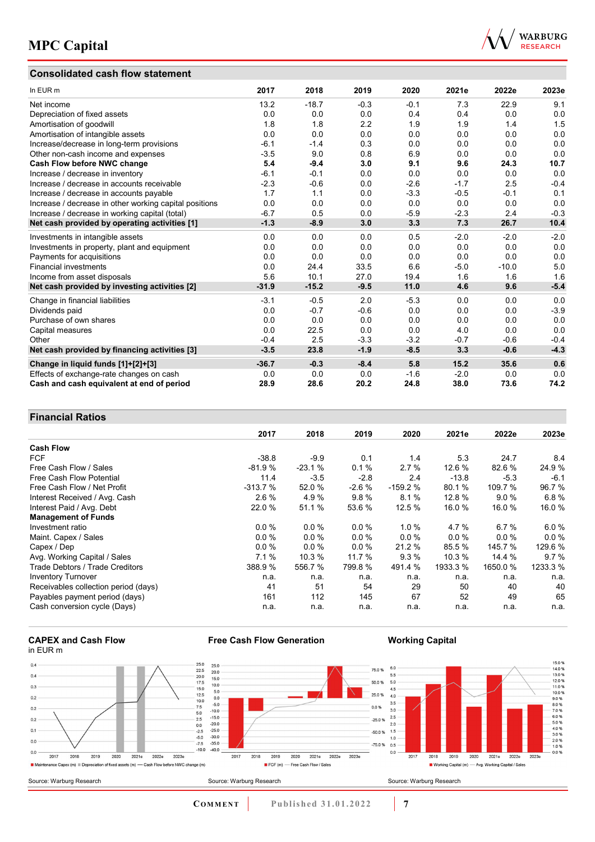## **Consolidated cash flow statement**



| In EUR m                                               | 2017    | 2018    | 2019   | 2020   | 2021e  | 2022e   | 2023e  |
|--------------------------------------------------------|---------|---------|--------|--------|--------|---------|--------|
| Net income                                             | 13.2    | $-18.7$ | $-0.3$ | $-0.1$ | 7.3    | 22.9    | 9.1    |
| Depreciation of fixed assets                           | 0.0     | 0.0     | 0.0    | 0.4    | 0.4    | 0.0     | 0.0    |
| Amortisation of goodwill                               | 1.8     | 1.8     | 2.2    | 1.9    | 1.9    | 1.4     | 1.5    |
| Amortisation of intangible assets                      | 0.0     | 0.0     | 0.0    | 0.0    | 0.0    | 0.0     | 0.0    |
| Increase/decrease in long-term provisions              | $-6.1$  | $-1.4$  | 0.3    | 0.0    | 0.0    | 0.0     | 0.0    |
| Other non-cash income and expenses                     | $-3.5$  | 9.0     | 0.8    | 6.9    | 0.0    | 0.0     | 0.0    |
| Cash Flow before NWC change                            | 5.4     | $-9.4$  | 3.0    | 9.1    | 9.6    | 24.3    | 10.7   |
| Increase / decrease in inventory                       | $-6.1$  | $-0.1$  | 0.0    | 0.0    | 0.0    | 0.0     | 0.0    |
| Increase / decrease in accounts receivable             | $-2.3$  | $-0.6$  | 0.0    | $-2.6$ | $-1.7$ | 2.5     | $-0.4$ |
| Increase / decrease in accounts payable                | 1.7     | 1.1     | 0.0    | $-3.3$ | $-0.5$ | $-0.1$  | 0.1    |
| Increase / decrease in other working capital positions | 0.0     | 0.0     | 0.0    | 0.0    | 0.0    | 0.0     | 0.0    |
| Increase / decrease in working capital (total)         | $-6.7$  | 0.5     | 0.0    | $-5.9$ | $-2.3$ | 2.4     | $-0.3$ |
| Net cash provided by operating activities [1]          | $-1.3$  | $-8.9$  | 3.0    | 3.3    | 7.3    | 26.7    | 10.4   |
| Investments in intangible assets                       | 0.0     | 0.0     | 0.0    | 0.5    | $-2.0$ | $-2.0$  | $-2.0$ |
| Investments in property, plant and equipment           | 0.0     | 0.0     | 0.0    | 0.0    | 0.0    | 0.0     | 0.0    |
| Payments for acquisitions                              | 0.0     | 0.0     | 0.0    | 0.0    | 0.0    | 0.0     | 0.0    |
| <b>Financial investments</b>                           | 0.0     | 24.4    | 33.5   | 6.6    | $-5.0$ | $-10.0$ | 5.0    |
| Income from asset disposals                            | 5.6     | 10.1    | 27.0   | 19.4   | 1.6    | 1.6     | 1.6    |
| Net cash provided by investing activities [2]          | $-31.9$ | $-15.2$ | $-9.5$ | 11.0   | 4.6    | 9.6     | $-5.4$ |
| Change in financial liabilities                        | $-3.1$  | $-0.5$  | 2.0    | $-5.3$ | 0.0    | 0.0     | 0.0    |
| Dividends paid                                         | 0.0     | $-0.7$  | $-0.6$ | 0.0    | 0.0    | 0.0     | $-3.9$ |
| Purchase of own shares                                 | 0.0     | 0.0     | 0.0    | 0.0    | 0.0    | 0.0     | 0.0    |
| Capital measures                                       | 0.0     | 22.5    | 0.0    | 0.0    | 4.0    | 0.0     | 0.0    |
| Other                                                  | $-0.4$  | 2.5     | $-3.3$ | $-3.2$ | $-0.7$ | $-0.6$  | $-0.4$ |
| Net cash provided by financing activities [3]          | $-3.5$  | 23.8    | $-1.9$ | $-8.5$ | 3.3    | $-0.6$  | $-4.3$ |
| Change in liquid funds [1]+[2]+[3]                     | $-36.7$ | $-0.3$  | $-8.4$ | 5.8    | 15.2   | 35.6    | 0.6    |
| Effects of exchange-rate changes on cash               | 0.0     | 0.0     | 0.0    | $-1.6$ | $-2.0$ | 0.0     | 0.0    |
| Cash and cash equivalent at end of period              | 28.9    | 28.6    | 20.2   | 24.8   | 38.0   | 73.6    | 74.2   |

## **Financial Ratios**

|                                      | 2017      | 2018     | 2019     | 2020      | 2021e    | 2022e   | 2023e    |
|--------------------------------------|-----------|----------|----------|-----------|----------|---------|----------|
| <b>Cash Flow</b>                     |           |          |          |           |          |         |          |
| <b>FCF</b>                           | $-38.8$   | $-9.9$   | 0.1      | 1.4       | 5.3      | 24.7    | 8.4      |
| Free Cash Flow / Sales               | $-81.9%$  | $-23.1%$ | 0.1%     | 2.7%      | 12.6 %   | 82.6 %  | 24.9%    |
| Free Cash Flow Potential             | 11.4      | $-3.5$   | $-2.8$   | 2.4       | $-13.8$  | $-5.3$  | $-6.1$   |
| Free Cash Flow / Net Profit          | $-313.7%$ | 52.0 %   | $-2.6%$  | $-159.2%$ | 80.1 %   | 109.7 % | 96.7%    |
| Interest Received / Avg. Cash        | 2.6%      | 4.9%     | 9.8%     | 8.1%      | 12.8%    | 9.0%    | 6.8%     |
| Interest Paid / Avg. Debt            | 22.0 %    | 51.1 %   | 53.6 %   | 12.5 %    | 16.0%    | 16.0%   | 16.0 %   |
| <b>Management of Funds</b>           |           |          |          |           |          |         |          |
| Investment ratio                     | $0.0\%$   | 0.0%     | $0.0 \%$ | 1.0%      | 4.7 %    | 6.7%    | 6.0%     |
| Maint. Capex / Sales                 | $0.0\%$   | 0.0%     | $0.0 \%$ | 0.0%      | $0.0\%$  | $0.0\%$ | $0.0\%$  |
| Capex / Dep                          | 0.0%      | 0.0%     | $0.0\%$  | 21.2 %    | 85.5 %   | 145.7 % | 129.6 %  |
| Avg. Working Capital / Sales         | 7.1%      | 10.3 %   | 11.7 %   | 9.3%      | 10.3%    | 14.4 %  | 9.7%     |
| Trade Debtors / Trade Creditors      | 388.9 %   | 556.7 %  | 799.8 %  | 491.4 %   | 1933.3 % | 1650.0% | 1233.3 % |
| <b>Inventory Turnover</b>            | n.a.      | n.a.     | n.a.     | n.a.      | n.a.     | n.a.    | n.a.     |
| Receivables collection period (days) | 41        | 51       | 54       | 29        | 50       | 40      | 40       |
| Payables payment period (days)       | 161       | 112      | 145      | 67        | 52       | 49      | 65       |
| Cash conversion cycle (Days)         | n.a.      | n.a.     | n.a.     | n.a.      | n.a.     | n.a.    | n.a.     |

#### **CAPEX and Cash Flow** in EUR m



**Free Cash Flow Generation**

**Working Capital**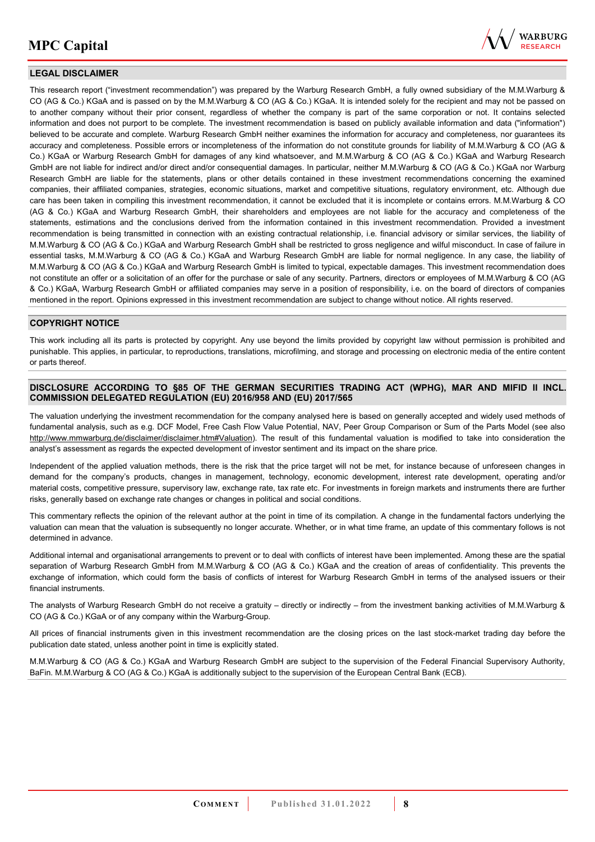

## **LEGAL DISCLAIMER**

This research report ("investment recommendation") was prepared by the Warburg Research GmbH, a fully owned subsidiary of the M.M.Warburg & CO (AG & Co.) KGaA and is passed on by the M.M.Warburg & CO (AG & Co.) KGaA. It is intended solely for the recipient and may not be passed on to another company without their prior consent, regardless of whether the company is part of the same corporation or not. It contains selected information and does not purport to be complete. The investment recommendation is based on publicly available information and data ("information") believed to be accurate and complete. Warburg Research GmbH neither examines the information for accuracy and completeness, nor guarantees its accuracy and completeness. Possible errors or incompleteness of the information do not constitute grounds for liability of M.M.Warburg & CO (AG & Co.) KGaA or Warburg Research GmbH for damages of any kind whatsoever, and M.M.Warburg & CO (AG & Co.) KGaA and Warburg Research GmbH are not liable for indirect and/or direct and/or consequential damages. In particular, neither M.M.Warburg & CO (AG & Co.) KGaA nor Warburg Research GmbH are liable for the statements, plans or other details contained in these investment recommendations concerning the examined companies, their affiliated companies, strategies, economic situations, market and competitive situations, regulatory environment, etc. Although due care has been taken in compiling this investment recommendation, it cannot be excluded that it is incomplete or contains errors. M.M.Warburg & CO (AG & Co.) KGaA and Warburg Research GmbH, their shareholders and employees are not liable for the accuracy and completeness of the statements, estimations and the conclusions derived from the information contained in this investment recommendation. Provided a investment recommendation is being transmitted in connection with an existing contractual relationship, i.e. financial advisory or similar services, the liability of M.M.Warburg & CO (AG & Co.) KGaA and Warburg Research GmbH shall be restricted to gross negligence and wilful misconduct. In case of failure in essential tasks, M.M.Warburg & CO (AG & Co.) KGaA and Warburg Research GmbH are liable for normal negligence. In any case, the liability of M.M.Warburg & CO (AG & Co.) KGaA and Warburg Research GmbH is limited to typical, expectable damages. This investment recommendation does not constitute an offer or a solicitation of an offer for the purchase or sale of any security. Partners, directors or employees of M.M.Warburg & CO (AG & Co.) KGaA, Warburg Research GmbH or affiliated companies may serve in a position of responsibility, i.e. on the board of directors of companies mentioned in the report. Opinions expressed in this investment recommendation are subject to change without notice. All rights reserved.

## **COPYRIGHT NOTICE**

This work including all its parts is protected by copyright. Any use beyond the limits provided by copyright law without permission is prohibited and punishable. This applies, in particular, to reproductions, translations, microfilming, and storage and processing on electronic media of the entire content or parts thereof.

## **DISCLOSURE ACCORDING TO §85 OF THE GERMAN SECURITIES TRADING ACT (WPHG), MAR AND MIFID II INCL. COMMISSION DELEGATED REGULATION (EU) 2016/958 AND (EU) 2017/565**

The valuation underlying the investment recommendation for the company analysed here is based on generally accepted and widely used methods of fundamental analysis, such as e.g. DCF Model, Free Cash Flow Value Potential, NAV, Peer Group Comparison or Sum of the Parts Model (see also [http://www.mmwarburg.de/disclaimer/disclaimer.htm#Valuation\)](http://www.mmwarburg.de/disclaimer/disclaimer.htm#Valuation). The result of this fundamental valuation is modified to take into consideration the analyst's assessment as regards the expected development of investor sentiment and its impact on the share price.

Independent of the applied valuation methods, there is the risk that the price target will not be met, for instance because of unforeseen changes in demand for the company's products, changes in management, technology, economic development, interest rate development, operating and/or material costs, competitive pressure, supervisory law, exchange rate, tax rate etc. For investments in foreign markets and instruments there are further risks, generally based on exchange rate changes or changes in political and social conditions.

This commentary reflects the opinion of the relevant author at the point in time of its compilation. A change in the fundamental factors underlying the valuation can mean that the valuation is subsequently no longer accurate. Whether, or in what time frame, an update of this commentary follows is not determined in advance.

Additional internal and organisational arrangements to prevent or to deal with conflicts of interest have been implemented. Among these are the spatial separation of Warburg Research GmbH from M.M.Warburg & CO (AG & Co.) KGaA and the creation of areas of confidentiality. This prevents the exchange of information, which could form the basis of conflicts of interest for Warburg Research GmbH in terms of the analysed issuers or their financial instruments.

The analysts of Warburg Research GmbH do not receive a gratuity – directly or indirectly – from the investment banking activities of M.M.Warburg & CO (AG & Co.) KGaA or of any company within the Warburg-Group.

All prices of financial instruments given in this investment recommendation are the closing prices on the last stock-market trading day before the publication date stated, unless another point in time is explicitly stated.

M.M.Warburg & CO (AG & Co.) KGaA and Warburg Research GmbH are subject to the supervision of the Federal Financial Supervisory Authority, BaFin. M.M.Warburg & CO (AG & Co.) KGaA is additionally subject to the supervision of the European Central Bank (ECB).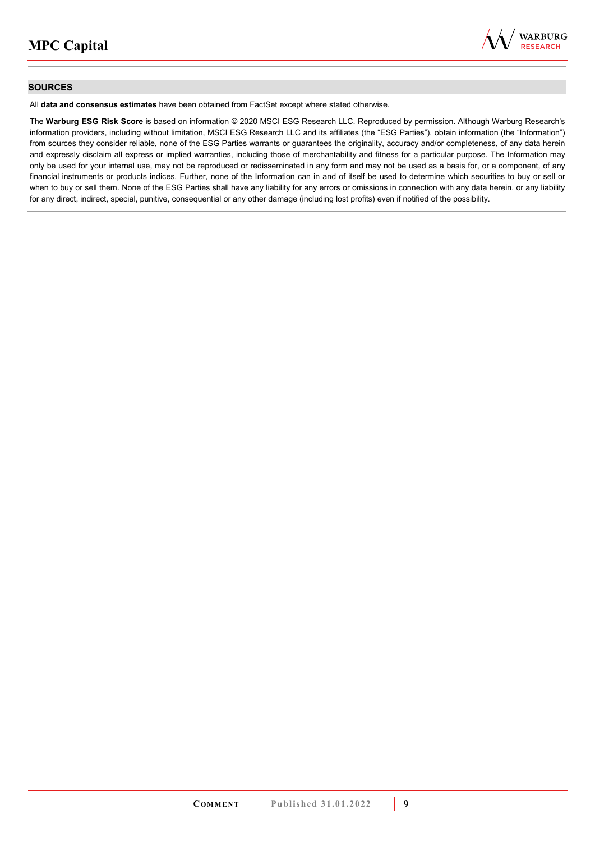

## **SOURCES**

All **data and consensus estimates** have been obtained from FactSet except where stated otherwise.

The **Warburg ESG Risk Score** is based on information © 2020 MSCI ESG Research LLC. Reproduced by permission. Although Warburg Research's information providers, including without limitation, MSCI ESG Research LLC and its affiliates (the "ESG Parties"), obtain information (the "Information") from sources they consider reliable, none of the ESG Parties warrants or guarantees the originality, accuracy and/or completeness, of any data herein and expressly disclaim all express or implied warranties, including those of merchantability and fitness for a particular purpose. The Information may only be used for your internal use, may not be reproduced or redisseminated in any form and may not be used as a basis for, or a component, of any financial instruments or products indices. Further, none of the Information can in and of itself be used to determine which securities to buy or sell or when to buy or sell them. None of the ESG Parties shall have any liability for any errors or omissions in connection with any data herein, or any liability for any direct, indirect, special, punitive, consequential or any other damage (including lost profits) even if notified of the possibility.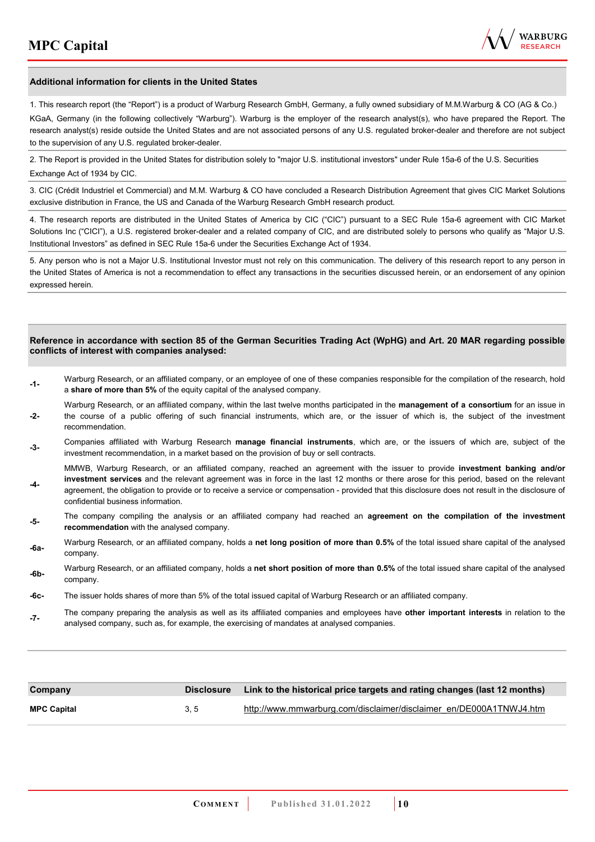

#### **Additional information for clients in the United States**

1. This research report (the "Report") is a product of Warburg Research GmbH, Germany, a fully owned subsidiary of M.M.Warburg & CO (AG & Co.)

KGaA, Germany (in the following collectively "Warburg"). Warburg is the employer of the research analyst(s), who have prepared the Report. The research analyst(s) reside outside the United States and are not associated persons of any U.S. regulated broker-dealer and therefore are not subject to the supervision of any U.S. regulated broker-dealer.

2. The Report is provided in the United States for distribution solely to "major U.S. institutional investors" under Rule 15a-6 of the U.S. Securities Exchange Act of 1934 by CIC.

3. CIC (Crédit Industriel et Commercial) and M.M. Warburg & CO have concluded a Research Distribution Agreement that gives CIC Market Solutions exclusive distribution in France, the US and Canada of the Warburg Research GmbH research product.

4. The research reports are distributed in the United States of America by CIC ("CIC") pursuant to a SEC Rule 15a-6 agreement with CIC Market Solutions Inc ("CICI"), a U.S. registered broker-dealer and a related company of CIC, and are distributed solely to persons who qualify as "Major U.S. Institutional Investors" as defined in SEC Rule 15a-6 under the Securities Exchange Act of 1934.

5. Any person who is not a Major U.S. Institutional Investor must not rely on this communication. The delivery of this research report to any person in the United States of America is not a recommendation to effect any transactions in the securities discussed herein, or an endorsement of any opinion expressed herein.

#### **Reference in accordance with section 85 of the German Securities Trading Act (WpHG) and Art. 20 MAR regarding possible conflicts of interest with companies analysed:**

- **-1-** Warburg Research, or an affiliated company, or an employee of one of these companies responsible for the compilation of the research, hold a **share of more than 5%** of the equity capital of the analysed company.
- **-2-**  Warburg Research, or an affiliated company, within the last twelve months participated in the **management of a consortium** for an issue in the course of a public offering of such financial instruments, which are, or the issuer of which is, the subject of the investment recommendation.
- **-3-** Companies affiliated with Warburg Research **manage financial instruments**, which are, or the issuers of which are, subject of the investment recommendation, in a market based on the provision of buy or sell contracts.

MMWB, Warburg Research, or an affiliated company, reached an agreement with the issuer to provide **investment banking and/or investment services** and the relevant agreement was in force in the last 12 months or there arose for this period, based on the relevant

- **-4**  agreement, the obligation to provide or to receive a service or compensation - provided that this disclosure does not result in the disclosure of confidential business information.
- **-5-** The company compiling the analysis or an affiliated company had reached an **agreement on the compilation of the investment recommendation** with the analysed company.
- **-6a-** Warburg Research, or an affiliated company, holds a **net long position of more than 0.5%** of the total issued share capital of the analysed company.
- **-6b-** Warburg Research, or an affiliated company, holds a **net short position of more than 0.5%** of the total issued share capital of the analysed company.
- **-6c-** The issuer holds shares of more than 5% of the total issued capital of Warburg Research or an affiliated company.
- **-7-** The company preparing the analysis as well as its affiliated companies and employees have **other important interests** in relation to the analysed company, such as, for example, the exercising of mandates at analysed companies.

| Company            | Disclosure | Link to the historical price targets and rating changes (last 12 months) |
|--------------------|------------|--------------------------------------------------------------------------|
| <b>MPC Capital</b> | 3.5        | http://www.mmwarburg.com/disclaimer/disclaimer_en/DE000A1TNWJ4.htm       |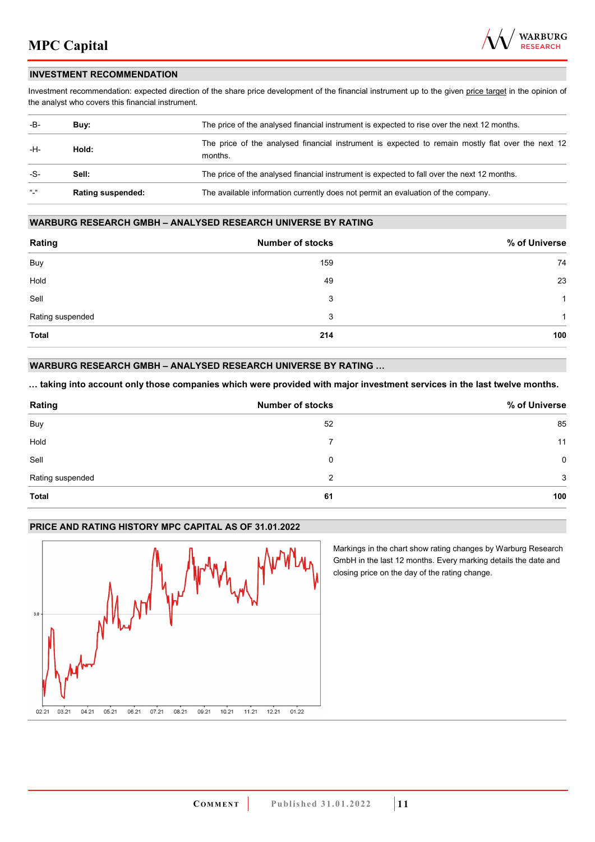

## **INVESTMENT RECOMMENDATION**

Investment recommendation: expected direction of the share price development of the financial instrument up to the given price target in the opinion of the analyst who covers this financial instrument.

| -B-           | Buy:                     | The price of the analysed financial instrument is expected to rise over the next 12 months.                  |
|---------------|--------------------------|--------------------------------------------------------------------------------------------------------------|
| -H-           | Hold:                    | The price of the analysed financial instrument is expected to remain mostly flat over the next 12<br>months. |
| -S-           | Sell:                    | The price of the analysed financial instrument is expected to fall over the next 12 months.                  |
| $\frac{1}{2}$ | <b>Rating suspended:</b> | The available information currently does not permit an evaluation of the company.                            |

## **WARBURG RESEARCH GMBH – ANALYSED RESEARCH UNIVERSE BY RATING**

| Rating           | <b>Number of stocks</b> | % of Universe |
|------------------|-------------------------|---------------|
| Buy              | 159                     | 74            |
| Hold             | 49                      | 23            |
| Sell             | 3                       | -1            |
| Rating suspended | 3                       | 1             |
| <b>Total</b>     | 214                     | 100           |

## **WARBURG RESEARCH GMBH – ANALYSED RESEARCH UNIVERSE BY RATING …**

**… taking into account only those companies which were provided with major investment services in the last twelve months.** 

| Rating           | <b>Number of stocks</b> | % of Universe |
|------------------|-------------------------|---------------|
| Buy              | 52                      | 85            |
| Hold             | 7                       | 11            |
| Sell             | 0                       | $\mathbf 0$   |
| Rating suspended | 2                       | 3             |
| <b>Total</b>     | 61                      | 100           |

## **PRICE AND RATING HISTORY MPC CAPITAL AS OF 31.01.2022**



Markings in the chart show rating changes by Warburg Research GmbH in the last 12 months. Every marking details the date and closing price on the day of the rating change.